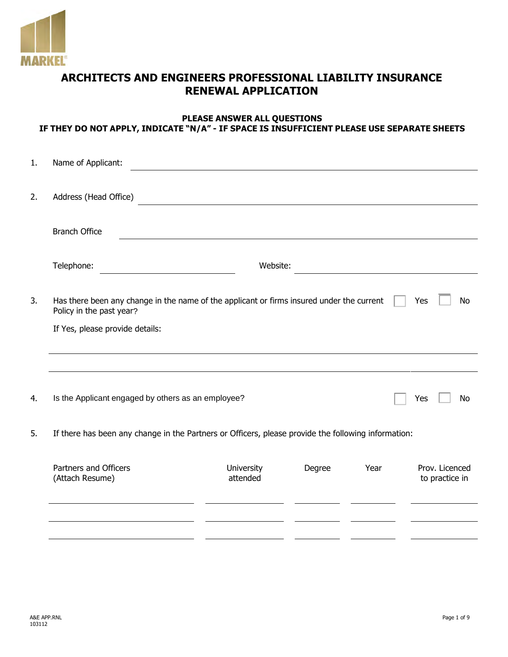

# **ARCHITECTS AND ENGINEERS PROFESSIONAL LIABILITY INSURANCE RENEWAL APPLICATION**

#### **PLEASE ANSWER ALL QUESTIONS IF THEY DO NOT APPLY, INDICATE "N/A" - IF SPACE IS INSUFFICIENT PLEASE USE SEPARATE SHEETS**

| 1. | Name of Applicant:                                                                                  |                        |                  |      |                                  |
|----|-----------------------------------------------------------------------------------------------------|------------------------|------------------|------|----------------------------------|
| 2. | Address (Head Office)                                                                               |                        |                  |      |                                  |
|    | <b>Branch Office</b>                                                                                |                        |                  |      |                                  |
|    | Telephone:                                                                                          | Website:               |                  |      |                                  |
| 3. | Has there been any change in the name of the applicant or firms insured under the current           | Yes<br>No              |                  |      |                                  |
|    | If Yes, please provide details:                                                                     |                        |                  |      |                                  |
|    |                                                                                                     |                        |                  |      |                                  |
| 4. | Is the Applicant engaged by others as an employee?                                                  |                        | Yes<br><b>No</b> |      |                                  |
| 5. | If there has been any change in the Partners or Officers, please provide the following information: |                        |                  |      |                                  |
|    | Partners and Officers<br>(Attach Resume)                                                            | University<br>attended | Degree           | Year | Prov. Licenced<br>to practice in |
|    |                                                                                                     |                        |                  |      |                                  |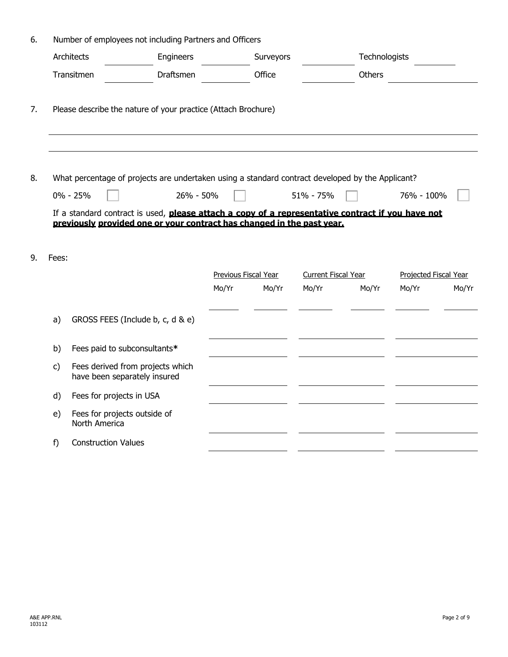|              |                                               | Number of employees not including Partners and Officers                                          |                      |           |                            |               |                       |       |
|--------------|-----------------------------------------------|--------------------------------------------------------------------------------------------------|----------------------|-----------|----------------------------|---------------|-----------------------|-------|
|              | Architects                                    | Engineers                                                                                        |                      | Surveyors |                            | Technologists |                       |       |
|              | Transitmen                                    | Draftsmen                                                                                        |                      | Office    |                            | <b>Others</b> |                       |       |
|              |                                               | Please describe the nature of your practice (Attach Brochure)                                    |                      |           |                            |               |                       |       |
|              |                                               | What percentage of projects are undertaken using a standard contract developed by the Applicant? |                      |           |                            |               |                       |       |
|              | $0\% - 25\%$                                  | 26% - 50%                                                                                        |                      |           | 51% - 75%                  |               | 76% - 100%            |       |
| Fees:        |                                               |                                                                                                  | Previous Fiscal Year |           | <b>Current Fiscal Year</b> |               | Projected Fiscal Year |       |
|              |                                               |                                                                                                  | Mo/Yr                | Mo/Yr     | Mo/Yr                      | Mo/Yr         | Mo/Yr                 |       |
| a)           |                                               | GROSS FEES (Include b, c, d & e)                                                                 |                      |           |                            |               |                       | Mo/Yr |
| b)           | Fees paid to subconsultants*                  |                                                                                                  |                      |           |                            |               |                       |       |
| $\mathsf{C}$ | have been separately insured                  | Fees derived from projects which                                                                 |                      |           |                            |               |                       |       |
| d)           | Fees for projects in USA                      |                                                                                                  |                      |           |                            |               |                       |       |
| e)           | Fees for projects outside of<br>North America |                                                                                                  |                      |           |                            |               |                       |       |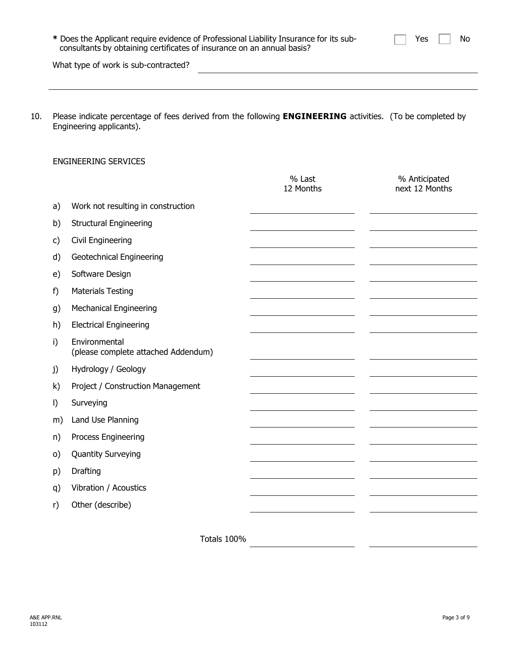| * Does the Applicant require evidence of Professional Liability Insurance for its sub-<br>consultants by obtaining certificates of insurance on an annual basis? | Yes<br>No |
|------------------------------------------------------------------------------------------------------------------------------------------------------------------|-----------|
| What type of work is sub-contracted?                                                                                                                             |           |
|                                                                                                                                                                  |           |

10. Please indicate percentage of fees derived from the following **ENGINEERING** activities. (To be completed by Engineering applicants).

# ENGINEERING SERVICES

|         |                                                      | % Last<br>12 Months | % Anticipated<br>next 12 Months |
|---------|------------------------------------------------------|---------------------|---------------------------------|
| a)      | Work not resulting in construction                   |                     |                                 |
| b)      | <b>Structural Engineering</b>                        |                     |                                 |
| c)      | Civil Engineering                                    |                     |                                 |
| d)      | Geotechnical Engineering                             |                     |                                 |
| e)      | Software Design                                      |                     |                                 |
| f)      | <b>Materials Testing</b>                             |                     |                                 |
| g)      | <b>Mechanical Engineering</b>                        |                     |                                 |
| h)      | <b>Electrical Engineering</b>                        |                     |                                 |
| i)      | Environmental<br>(please complete attached Addendum) |                     |                                 |
| j)      | Hydrology / Geology                                  |                     |                                 |
| k)      | Project / Construction Management                    |                     |                                 |
| $\vert$ | Surveying                                            |                     |                                 |
| m)      | Land Use Planning                                    |                     |                                 |
| n)      | Process Engineering                                  |                     |                                 |
| $\circ$ | <b>Quantity Surveying</b>                            |                     |                                 |
| p)      | Drafting                                             |                     |                                 |
| q)      | Vibration / Acoustics                                |                     |                                 |
| r)      | Other (describe)                                     |                     |                                 |
|         |                                                      |                     |                                 |

Totals 100%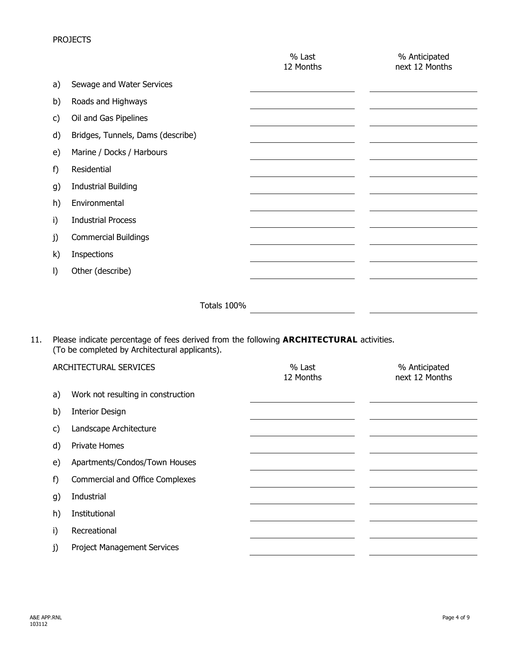# PROJECTS

|              |                                   | % Last<br>12 Months | % Anticipated<br>next 12 Months |
|--------------|-----------------------------------|---------------------|---------------------------------|
| a)           | Sewage and Water Services         |                     |                                 |
| b)           | Roads and Highways                |                     |                                 |
| C)           | Oil and Gas Pipelines             |                     |                                 |
| d)           | Bridges, Tunnels, Dams (describe) |                     |                                 |
| e)           | Marine / Docks / Harbours         |                     |                                 |
| f)           | Residential                       |                     |                                 |
| g)           | <b>Industrial Building</b>        |                     |                                 |
| h)           | Environmental                     |                     |                                 |
| i)           | <b>Industrial Process</b>         |                     |                                 |
| j)           | <b>Commercial Buildings</b>       |                     |                                 |
| $\mathsf{k}$ | Inspections                       |                     |                                 |
| $\vert$      | Other (describe)                  |                     |                                 |
|              |                                   |                     |                                 |
|              | Totals 100%                       |                     |                                 |

11. Please indicate percentage of fees derived from the following **ARCHITECTURAL** activities. (To be completed by Architectural applicants).

| ARCHITECTURAL SERVICES |                                        | % Last<br>12 Months | % Anticipated<br>next 12 Months |
|------------------------|----------------------------------------|---------------------|---------------------------------|
| a)                     | Work not resulting in construction     |                     |                                 |
| b)                     | <b>Interior Design</b>                 |                     |                                 |
| C)                     | Landscape Architecture                 |                     |                                 |
| d)                     | <b>Private Homes</b>                   |                     |                                 |
| e)                     | Apartments/Condos/Town Houses          |                     |                                 |
| f)                     | <b>Commercial and Office Complexes</b> |                     |                                 |
| g)                     | Industrial                             |                     |                                 |
| h)                     | Institutional                          |                     |                                 |
| i)                     | Recreational                           |                     |                                 |
| j)                     | <b>Project Management Services</b>     |                     |                                 |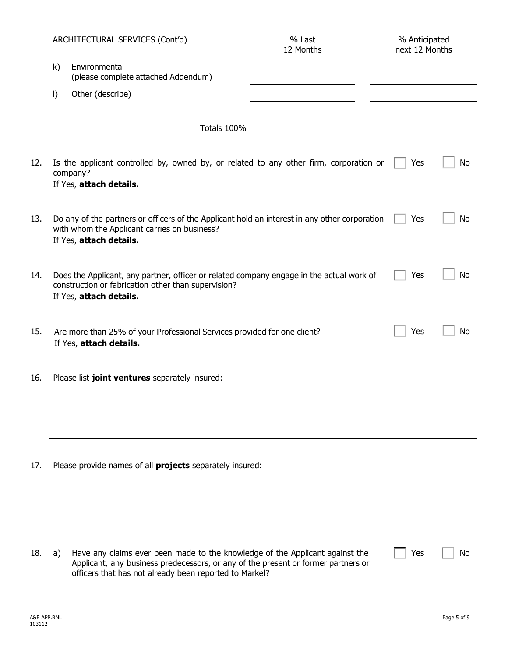|     |              | ARCHITECTURAL SERVICES (Cont'd)                                                                                                                                                                                             | % Last<br>12 Months | % Anticipated<br>next 12 Months |    |
|-----|--------------|-----------------------------------------------------------------------------------------------------------------------------------------------------------------------------------------------------------------------------|---------------------|---------------------------------|----|
|     | $\mathsf{k}$ | Environmental<br>(please complete attached Addendum)                                                                                                                                                                        |                     |                                 |    |
|     | $\vert$      | Other (describe)                                                                                                                                                                                                            |                     |                                 |    |
|     |              | Totals 100%                                                                                                                                                                                                                 |                     |                                 |    |
| 12. |              | Is the applicant controlled by, owned by, or related to any other firm, corporation or<br>company?<br>If Yes, attach details.                                                                                               |                     | Yes                             | No |
| 13. |              | Do any of the partners or officers of the Applicant hold an interest in any other corporation<br>with whom the Applicant carries on business?<br>If Yes, attach details.                                                    |                     | Yes                             | No |
| 14. |              | Does the Applicant, any partner, officer or related company engage in the actual work of<br>construction or fabrication other than supervision?<br>If Yes, attach details.                                                  |                     | Yes                             | No |
| 15. |              | Are more than 25% of your Professional Services provided for one client?<br>If Yes, attach details.                                                                                                                         |                     | Yes                             | No |
| 16. |              | Please list joint ventures separately insured:                                                                                                                                                                              |                     |                                 |    |
|     |              |                                                                                                                                                                                                                             |                     |                                 |    |
| 17. |              | Please provide names of all <b>projects</b> separately insured:                                                                                                                                                             |                     |                                 |    |
|     |              |                                                                                                                                                                                                                             |                     |                                 |    |
| 18. | a)           | Have any claims ever been made to the knowledge of the Applicant against the<br>Applicant, any business predecessors, or any of the present or former partners or<br>officers that has not already been reported to Markel? |                     | Yes                             | No |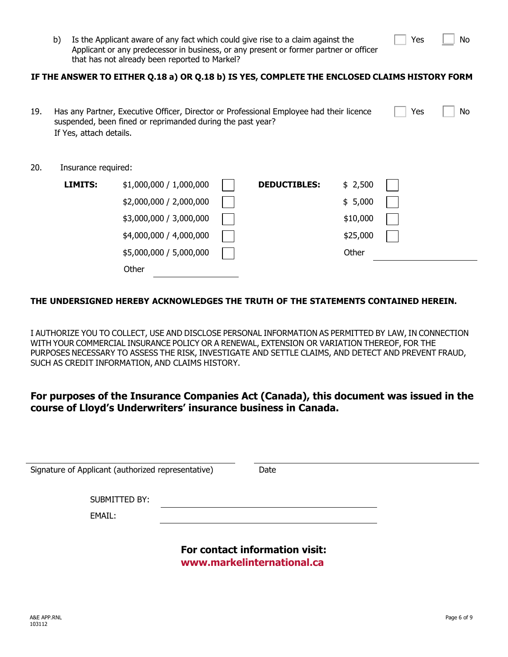|  | N٥ |
|--|----|
|  |    |

Yes

b) Is the Applicant aware of any fact which could give rise to a claim against the Applicant or any predecessor in business, or any present or former partner or officer that has not already been reported to Markel?

#### **IF THE ANSWER TO EITHER Q.18 a) OR Q.18 b) IS YES, COMPLETE THE ENCLOSED CLAIMS HISTORY FORM**

| 19. | If Yes, attach details. | Has any Partner, Executive Officer, Director or Professional Employee had their licence<br>suspended, been fined or reprimanded during the past year? |                     |          | Yes | No |
|-----|-------------------------|-------------------------------------------------------------------------------------------------------------------------------------------------------|---------------------|----------|-----|----|
| 20. | Insurance required:     |                                                                                                                                                       |                     |          |     |    |
|     | <b>LIMITS:</b>          | \$1,000,000 / 1,000,000                                                                                                                               | <b>DEDUCTIBLES:</b> | \$2,500  |     |    |
|     |                         | \$2,000,000 / 2,000,000                                                                                                                               |                     | \$5,000  |     |    |
|     |                         | \$3,000,000 / 3,000,000                                                                                                                               |                     | \$10,000 |     |    |
|     |                         | \$4,000,000 / 4,000,000                                                                                                                               |                     | \$25,000 |     |    |
|     |                         | \$5,000,000 / 5,000,000                                                                                                                               |                     | Other    |     |    |
|     |                         |                                                                                                                                                       |                     |          |     |    |

### **THE UNDERSIGNED HEREBY ACKNOWLEDGES THE TRUTH OF THE STATEMENTS CONTAINED HEREIN.**

**Other** 

I AUTHORIZE YOU TO COLLECT, USE AND DISCLOSE PERSONAL INFORMATION AS PERMITTED BY LAW, IN CONNECTION WITH YOUR COMMERCIAL INSURANCE POLICY OR A RENEWAL, EXTENSION OR VARIATION THEREOF, FOR THE PURPOSES NECESSARY TO ASSESS THE RISK, INVESTIGATE AND SETTLE CLAIMS, AND DETECT AND PREVENT FRAUD, SUCH AS CREDIT INFORMATION, AND CLAIMS HISTORY.

# **For purposes of the Insurance Companies Act (Canada), this document was issued in the course of Lloyd's Underwriters' insurance business in Canada.**

| Signature of Applicant (authorized representative) | Date                           |  |
|----------------------------------------------------|--------------------------------|--|
|                                                    |                                |  |
|                                                    |                                |  |
| SUBMITTED BY:                                      |                                |  |
|                                                    |                                |  |
| EMAIL:                                             |                                |  |
|                                                    |                                |  |
|                                                    |                                |  |
|                                                    |                                |  |
|                                                    | For contact information visit: |  |
|                                                    |                                |  |
|                                                    |                                |  |
|                                                    | www.markelinternational.ca     |  |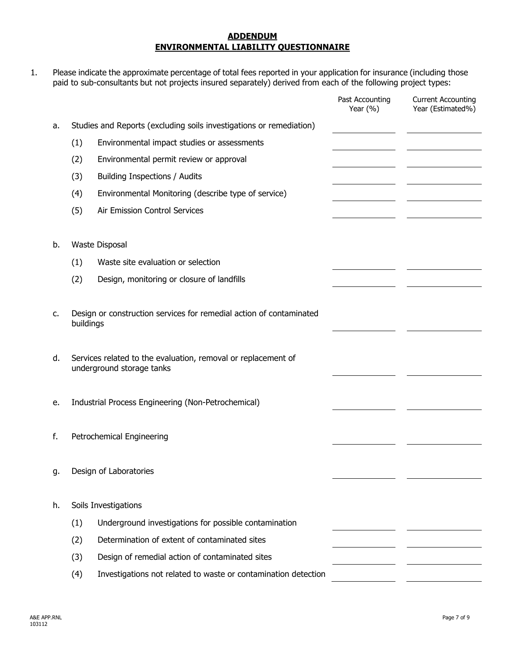#### **ADDENDUM ENVIRONMENTAL LIABILITY QUESTIONNAIRE**

1. Please indicate the approximate percentage of total fees reported in your application for insurance (including those paid to sub-consultants but not projects insured separately) derived from each of the following project types:

|    |           |                                                                                            | Past Accounting<br>Year $(\% )$ | <b>Current Accounting</b><br>Year (Estimated%) |
|----|-----------|--------------------------------------------------------------------------------------------|---------------------------------|------------------------------------------------|
| a. |           | Studies and Reports (excluding soils investigations or remediation)                        |                                 |                                                |
|    | (1)       | Environmental impact studies or assessments                                                |                                 |                                                |
|    | (2)       | Environmental permit review or approval                                                    |                                 |                                                |
|    | (3)       | <b>Building Inspections / Audits</b>                                                       |                                 |                                                |
|    | (4)       | Environmental Monitoring (describe type of service)                                        |                                 |                                                |
|    | (5)       | Air Emission Control Services                                                              |                                 |                                                |
|    |           |                                                                                            |                                 |                                                |
| b. |           | Waste Disposal                                                                             |                                 |                                                |
|    | (1)       | Waste site evaluation or selection                                                         |                                 |                                                |
|    | (2)       | Design, monitoring or closure of landfills                                                 |                                 |                                                |
|    |           |                                                                                            |                                 |                                                |
| c. |           | Design or construction services for remedial action of contaminated                        |                                 |                                                |
|    | buildings |                                                                                            |                                 |                                                |
|    |           |                                                                                            |                                 |                                                |
| d. |           | Services related to the evaluation, removal or replacement of<br>underground storage tanks |                                 |                                                |
|    |           |                                                                                            |                                 |                                                |
| е. |           | Industrial Process Engineering (Non-Petrochemical)                                         |                                 |                                                |
|    |           |                                                                                            |                                 |                                                |
| f. |           | Petrochemical Engineering                                                                  |                                 |                                                |
|    |           |                                                                                            |                                 |                                                |
| g. |           | Design of Laboratories                                                                     |                                 |                                                |
|    |           |                                                                                            |                                 |                                                |
| h. |           | Soils Investigations                                                                       |                                 |                                                |
|    | (1)       | Underground investigations for possible contamination                                      |                                 |                                                |
|    | (2)       | Determination of extent of contaminated sites                                              |                                 |                                                |
|    | (3)       | Design of remedial action of contaminated sites                                            |                                 |                                                |
|    | (4)       | Investigations not related to waste or contamination detection                             |                                 |                                                |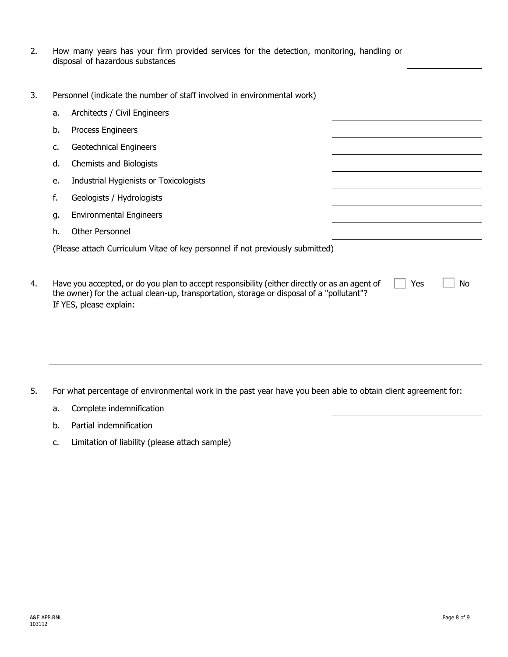|                                  |  |  |  |  | How many years has your firm provided services for the detection, monitoring, handling or |  |
|----------------------------------|--|--|--|--|-------------------------------------------------------------------------------------------|--|
| disposal of hazardous substances |  |  |  |  |                                                                                           |  |

3. Personnel (indicate the number of staff involved in environmental work)

| a. | Architects / Civil Engineers                                                                                                                                                                                          |     |    |  |
|----|-----------------------------------------------------------------------------------------------------------------------------------------------------------------------------------------------------------------------|-----|----|--|
| b. | Process Engineers                                                                                                                                                                                                     |     |    |  |
| c. | Geotechnical Engineers                                                                                                                                                                                                |     |    |  |
| d. | Chemists and Biologists                                                                                                                                                                                               |     |    |  |
| e. | Industrial Hygienists or Toxicologists                                                                                                                                                                                |     |    |  |
| f. | Geologists / Hydrologists                                                                                                                                                                                             |     |    |  |
| g. | <b>Environmental Engineers</b>                                                                                                                                                                                        |     |    |  |
| h. | <b>Other Personnel</b>                                                                                                                                                                                                |     |    |  |
|    | (Please attach Curriculum Vitae of key personnel if not previously submitted)                                                                                                                                         |     |    |  |
|    | Have you accepted, or do you plan to accept responsibility (either directly or as an agent of<br>the owner) for the actual clean-up, transportation, storage or disposal of a "pollutant"?<br>If YES, please explain: | Yes | No |  |
|    |                                                                                                                                                                                                                       |     |    |  |

- 5. For what percentage of environmental work in the past year have you been able to obtain client agreement for:
	- a. Complete indemnification
	- b. Partial indemnification
	- c. Limitation of liability (please attach sample)